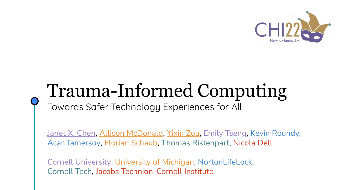

# Trauma-Informed Computing

Towards Safer Technology Experiences for All

Janet X. Chen, Allison McDonald, Yixin Zou, Emily Tseng, Kevin Roundy, Acar Tamersoy, Florian Schaub, Thomas Ristenpart, Nicola Dell

Cornell University, University of Michigan, NortonLifeLock, Cornell Tech, Jacobs Technion-Cornell Institute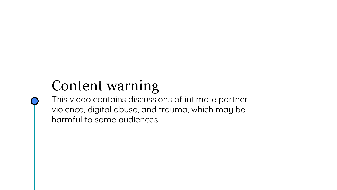# Content warning

This video contains discussions of intimate partner violence, digital abuse, and trauma, which may be harmful to some audiences.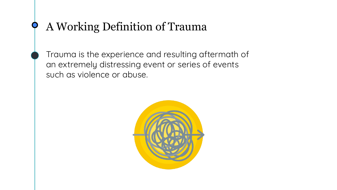## A Working Definition of Trauma

Trauma is the experience and resulting aftermath of an extremely distressing event or series of events such as violence or abuse.

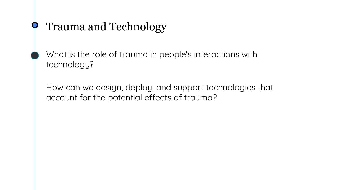## Trauma and Technology

What is the role of trauma in people's interactions with technology?

How can we design, deploy, and support technologies that account for the potential effects of trauma?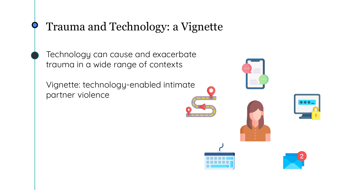## Trauma and Technology: a Vignette

Technology can cause and exacerbate trauma in a wide range of contexts

Vignette: technology-enabled intimate partner violence

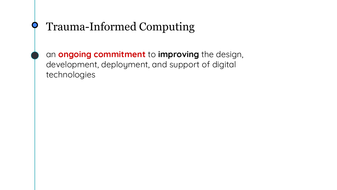## Trauma-Informed Computing

an **ongoing commitment** to **improving** the design, development, deployment, and support of digital technologies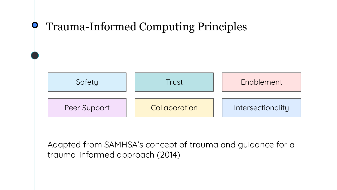

Adapted from SAMHSA's concept of trauma and guidance for a trauma-informed approach (2014)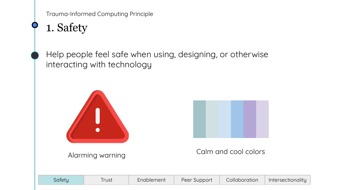## 1. Safety

Help people feel safe when using, designing, or otherwise interacting with technology





### Calm and cool colors Alarming warning

| Satetu | -rust | nablement | Peer Support | Collaboration | Intersectionality |
|--------|-------|-----------|--------------|---------------|-------------------|
|        |       |           |              |               |                   |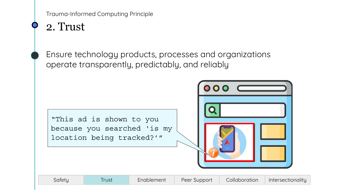2. Trust

Ensure technology products, processes and organizations operate transparently, predictably, and reliably

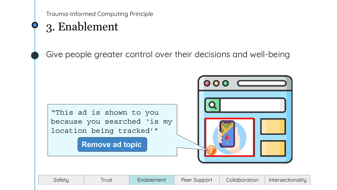## 3. Enablement

Give people greater control over their decisions and well-being



| Satety | -rust | Enablement | Peer Support | Collaboration | Intersectionality |
|--------|-------|------------|--------------|---------------|-------------------|
|--------|-------|------------|--------------|---------------|-------------------|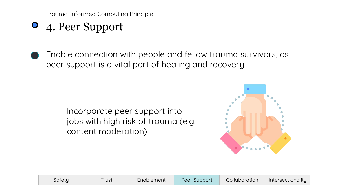## 4. Peer Support

Enable connection with people and fellow trauma survivors, as peer support is a vital part of healing and recovery

Incorporate peer support into jobs with high risk of trauma (e.g. content moderation)



| Collaboration<br>Peer Support<br>Intersectionality<br>Safety<br>Enablement<br>rust |  |
|------------------------------------------------------------------------------------|--|
|------------------------------------------------------------------------------------|--|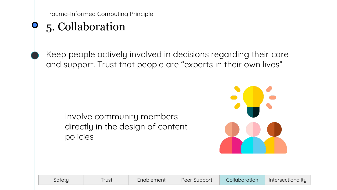## 5. Collaboration

Keep people actively involved in decisions regarding their care and support. Trust that people are "experts in their own lives"

Involve community members directly in the design of content policies



| Safety |
|--------|
|--------|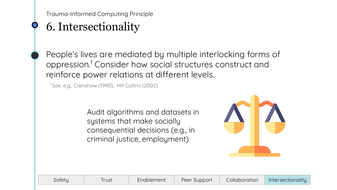## 6. Intersectionality

People's lives are mediated by multiple interlocking forms of oppression.1 Consider how social structures construct and reinforce power relations at different levels.

<sup>1</sup> See, e.g., Crenshaw (1990); Hill Collins (2002)

Audit algorithms and datasets in systems that make socially consequential decisions (e.g., in criminal justice, employment)



| Safety | Trust | Enablement | Peer Support | Collaboration | Intersectionality |
|--------|-------|------------|--------------|---------------|-------------------|
|--------|-------|------------|--------------|---------------|-------------------|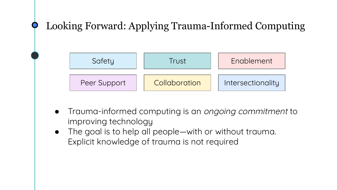

- Trauma-informed computing is an ongoing commitment to improving technology
- The goal is to help all people—with or without trauma. Explicit knowledge of trauma is not required